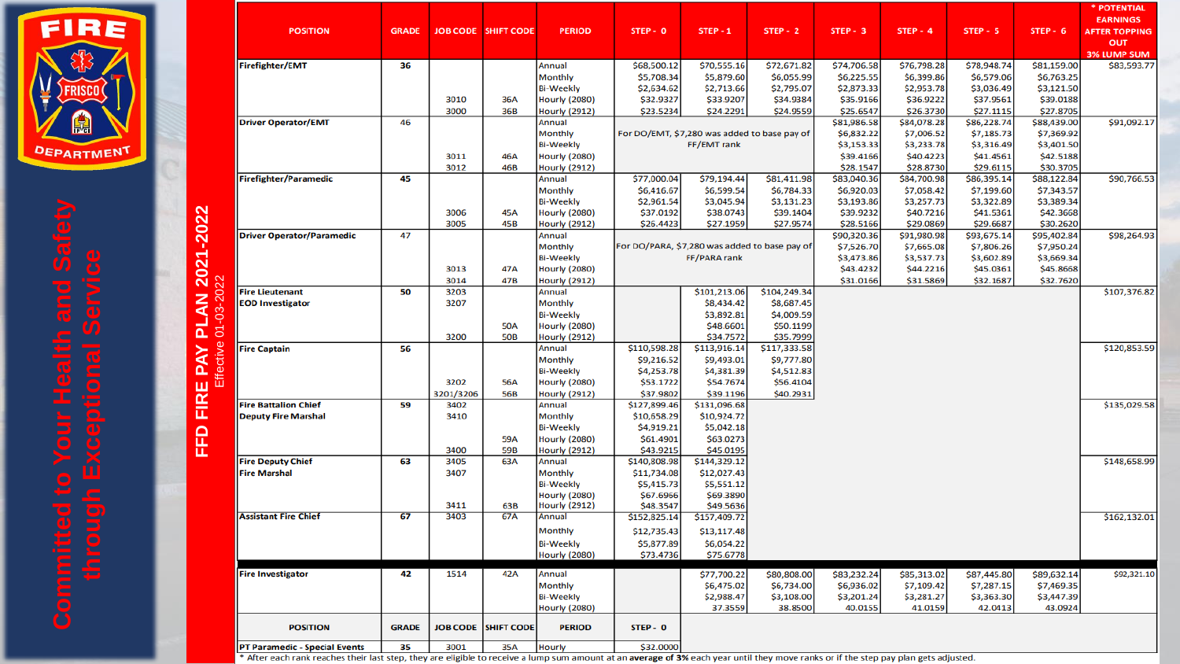

| <b>POSITION</b>                  | <b>GRADE</b> |              | <b>JOB CODE SHIFT CODE</b> | <b>PERIOD</b>                                | STEP - 0                                      | $STEP - 1$                                   | $STEP - 2$                | $STEP - 3$                | $STEP - 4$                | $STEP - 5$                | STEP - 6                  | * POTENTIAL<br><b>EARNINGS</b><br><b>AFTER TOPPING</b><br>OUT |
|----------------------------------|--------------|--------------|----------------------------|----------------------------------------------|-----------------------------------------------|----------------------------------------------|---------------------------|---------------------------|---------------------------|---------------------------|---------------------------|---------------------------------------------------------------|
| Firefighter/EMT                  | 36           |              |                            | Annual                                       | \$68,500.12                                   | \$70,555.16                                  | \$72,671.82               | \$74,706.58               | \$76,798.28               | \$78,948.74               | \$81,159.00               | <b>3% LUMP SUM</b><br>\$83,593.77                             |
|                                  |              |              |                            | Monthly                                      | \$5,708.34                                    | \$5,879.60                                   | \$6,055.99                | \$6,225.55                | \$6,399.86                | \$6,579.06                | \$6,763.25                |                                                               |
|                                  |              |              |                            | <b>Bi-Weekly</b>                             | \$2,634.62                                    | \$2,713.66                                   | \$2,795.07                | \$2,873.33                | \$2,953.78                | \$3,036.49                | \$3,121.50                |                                                               |
|                                  |              | 3010         | 36A                        | <b>Hourly (2080)</b>                         | \$32.9327                                     | \$33.9207                                    | \$34.9384                 | \$35.9166                 | \$36.9222                 | \$37.9561                 | \$39.0188                 |                                                               |
|                                  |              | 3000         | 36B                        | <b>Hourly (2912)</b>                         | \$23.5234                                     | \$24.2291                                    | \$24.9559                 | \$25.6547                 | \$26.3730                 | \$27.1115                 | \$27.8705                 |                                                               |
| <b>Driver Operator/EMT</b>       | 46           |              |                            | Annual                                       |                                               |                                              |                           | \$81,986.58               | \$84,078.28               | \$86,228.74               | \$88,439.00               | \$91,092.17                                                   |
|                                  |              |              |                            | Monthly                                      |                                               | For DO/EMT, \$7,280 was added to base pay of |                           | \$6,832.22                | \$7,006.52                | \$7,185.73                | \$7,369.92                |                                                               |
|                                  |              |              |                            | <b>Bi-Weekly</b>                             |                                               | FF/EMT rank                                  |                           | \$3,153.33                | \$3,233.78                | \$3,316.49                | \$3,401.50                |                                                               |
|                                  |              | 3011<br>3012 | 46A<br>46B                 | <b>Hourly (2080)</b><br><b>Hourly (2912)</b> |                                               |                                              |                           | \$39.4166<br>\$28.1547    | \$40.4223<br>\$28.8730    | \$41.4561<br>\$29.6115    | \$42.5188<br>\$30.3705    |                                                               |
| <b>Firefighter/Paramedic</b>     | 45           |              |                            | Annual                                       | \$77,000.04                                   | \$79,194.44                                  | \$81,411.98               | \$83,040.36               | \$84,700.98               | \$86,395.14               | \$88,122.84               | \$90,766.53                                                   |
|                                  |              |              |                            | Monthly                                      | \$6,416.67                                    | \$6,599.54                                   | \$6,784.33                | \$6,920.03                | \$7,058.42                | \$7,199.60                | \$7,343.57                |                                                               |
|                                  |              |              |                            | <b>Bi-Weekly</b>                             | \$2,961.54                                    | \$3,045.94                                   | \$3,131.23                | \$3,193.86                | \$3,257.73                | \$3,322.89                | \$3,389.34                |                                                               |
|                                  |              | 3006         | 45A                        | <b>Hourly (2080)</b>                         | \$37.0192                                     | \$38.0743                                    | \$39.1404                 | \$39.9232                 | \$40.7216                 | \$41.5361                 | \$42.3668                 |                                                               |
|                                  |              | 3005         | 45B                        | <b>Hourly (2912)</b>                         | \$26.4423                                     | \$27.1959                                    | \$27.9574                 | \$28.5166                 | \$29.0869                 | \$29.6687                 | \$30.2620                 |                                                               |
| <b>Driver Operator/Paramedic</b> | 47           |              |                            | Annual                                       |                                               |                                              |                           | \$90,320.36               | \$91,980.98               | \$93,675.14               | \$95,402.84               | \$98,264.93                                                   |
|                                  |              |              |                            | Monthly                                      | For DO/PARA, \$7,280 was added to base pay of |                                              |                           | \$7,526.70                | \$7,665.08                | \$7,806.26                | \$7,950.24                |                                                               |
|                                  |              |              |                            | <b>Bi-Weekly</b>                             |                                               | FF/PARA rank                                 |                           | \$3,473.86                | \$3,537.73                | \$3,602.89                | \$3,669.34                |                                                               |
|                                  |              | 3013<br>3014 | 47A<br>47B                 | <b>Hourly (2080)</b>                         |                                               |                                              |                           | \$43.4232                 | \$44.2216                 | \$45.0361                 | \$45.8668                 |                                                               |
| <b>Fire Lieutenant</b>           | 50           | 3203         |                            | <b>Hourly (2912)</b><br>Annual               |                                               | \$101,213.06                                 | \$104,249.34              | \$31.0166                 | \$31.5869                 | \$32.1687                 | \$32.7620                 | \$107,376.82                                                  |
| <b>EOD Investigator</b>          |              | 3207         |                            | Monthly                                      |                                               | \$8,434.42                                   | \$8,687.45                |                           |                           |                           |                           |                                                               |
|                                  |              |              |                            | <b>Bi-Weekly</b>                             |                                               | \$3,892.81                                   | \$4,009.59                |                           |                           |                           |                           |                                                               |
|                                  |              |              | <b>50A</b>                 | <b>Hourly (2080)</b>                         |                                               | \$48.6601                                    | \$50.1199                 |                           |                           |                           |                           |                                                               |
|                                  |              | 3200         | <b>50B</b>                 | <b>Hourly (2912)</b>                         |                                               | \$34.7572                                    | \$35.7999                 |                           |                           |                           |                           |                                                               |
| <b>Fire Captain</b>              | 56           |              |                            | Annual                                       | \$110,598.28                                  | \$113,916.14                                 | \$117,333.58              |                           |                           |                           |                           | \$120,853.59                                                  |
|                                  |              |              |                            | Monthly                                      | \$9,216.52                                    | \$9,493.01                                   | \$9,777.80                |                           |                           |                           |                           |                                                               |
|                                  |              | 3202         | 56A                        | <b>Bi-Weekly</b><br><b>Hourly (2080)</b>     | \$4,253.78<br>\$53.1722                       | \$4,381.39<br>\$54.7674                      | \$4,512.83<br>\$56.4104   |                           |                           |                           |                           |                                                               |
|                                  |              | 3201/3206    | 56B                        | <b>Hourly (2912)</b>                         | \$37.9802                                     | \$39.1196                                    | \$40.2931                 |                           |                           |                           |                           |                                                               |
| <b>Fire Battalion Chief</b>      | 59           | 3402         |                            | Annual                                       | \$127,899.46                                  | \$131,096.68                                 |                           |                           |                           |                           |                           | \$135,029.58                                                  |
| <b>Deputy Fire Marshal</b>       |              | 3410         |                            | Monthly                                      | \$10,658.29                                   | \$10,924.72                                  |                           |                           |                           |                           |                           |                                                               |
|                                  |              |              |                            | <b>Bi-Weekly</b>                             | \$4,919.21                                    | \$5,042.18                                   |                           |                           |                           |                           |                           |                                                               |
|                                  |              |              | 59A                        | <b>Hourly (2080)</b>                         | \$61.4901                                     | \$63.0273                                    |                           |                           |                           |                           |                           |                                                               |
|                                  |              | 3400         | 59B                        | <b>Hourly (2912)</b>                         | \$43.9215                                     | \$45.0195                                    |                           |                           |                           |                           |                           |                                                               |
| <b>Fire Deputy Chief</b>         | 63           | 3405         | 63A                        | Annual                                       | \$140,808.98                                  | \$144,329.12                                 |                           |                           |                           |                           |                           | \$148,658.99                                                  |
| <b>Fire Marshal</b>              |              | 3407         |                            | Monthly<br><b>Bi-Weekly</b>                  | \$11,734.08<br>\$5,415.73                     | \$12,027.43<br>\$5,551.12                    |                           |                           |                           |                           |                           |                                                               |
|                                  |              |              |                            | <b>Hourly (2080)</b>                         | \$67.6966                                     | \$69.3890                                    |                           |                           |                           |                           |                           |                                                               |
|                                  |              | 3411         | 63B                        | <b>Hourly (2912)</b>                         | \$48.3547                                     | \$49.5636                                    |                           |                           |                           |                           |                           |                                                               |
| <b>Assistant Fire Chief</b>      | 67           | 3403         | 67A                        | Annual                                       | \$152,825.14                                  | \$157,409.72                                 |                           |                           |                           |                           |                           | \$162,132.01                                                  |
|                                  |              |              |                            | Monthly                                      | \$12,735.43                                   | \$13,117.48                                  |                           |                           |                           |                           |                           |                                                               |
|                                  |              |              |                            | <b>Bi-Weekly</b>                             | \$5,877.89                                    | \$6,054.22                                   |                           |                           |                           |                           |                           |                                                               |
|                                  |              |              |                            | <b>Hourly (2080)</b>                         | \$73.4736                                     | \$75.6778                                    |                           |                           |                           |                           |                           |                                                               |
| <b>Fire Investigator</b>         | 42           | 1514         | 42A                        | Annual                                       |                                               |                                              |                           |                           |                           |                           |                           | \$92,321.10                                                   |
|                                  |              |              |                            | Monthly                                      |                                               | \$77,700.22<br>\$6,475.02                    | \$80,808.00<br>\$6,734.00 | \$83,232.24<br>\$6,936.02 | \$85,313.02<br>\$7,109.42 | \$87,445.80<br>\$7,287.15 | \$89,632.14<br>\$7,469.35 |                                                               |
|                                  |              |              |                            |                                              |                                               | \$2,988.47                                   | \$3,108.00                | \$3,201.24                | \$3,281.27                | \$3,363.30                | \$3,447.39                |                                                               |
|                                  |              |              |                            |                                              |                                               |                                              |                           |                           |                           |                           |                           |                                                               |
|                                  |              |              |                            | <b>Bi-Weekly</b>                             |                                               | 37.3559                                      | 38.8500                   | 40.0155                   | 41.0159                   | 42.0413                   | 43.0924                   |                                                               |
| <b>POSITION</b>                  | <b>GRADE</b> |              | JOB CODE SHIFT CODE        | <b>Hourly (2080)</b><br><b>PERIOD</b>        | STEP - 0                                      |                                              |                           |                           |                           |                           |                           |                                                               |